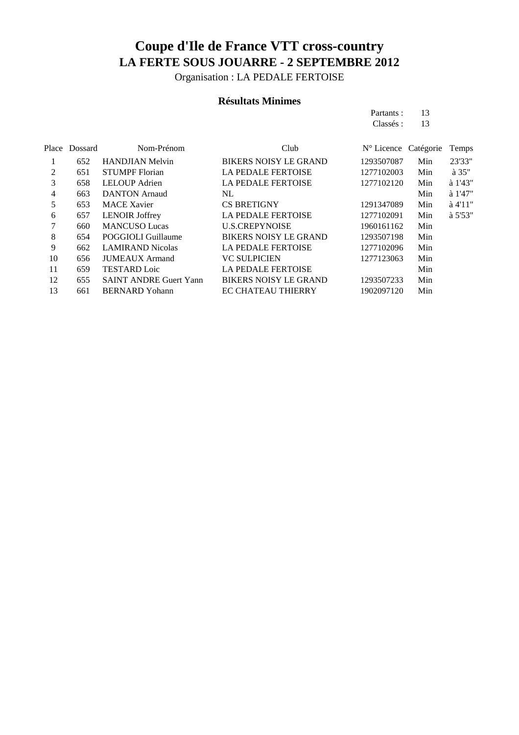Organisation : LA PEDALE FERTOISE

### **Résultats Minimes**

Partants : 13<br>Classés : 13 Classés :

|    | Place Dossard | Nom-Prénom                    | Club                         | $N^{\circ}$ Licence Catégorie |     | Temps           |
|----|---------------|-------------------------------|------------------------------|-------------------------------|-----|-----------------|
|    | 652           | <b>HANDJIAN Melvin</b>        | <b>BIKERS NOISY LE GRAND</b> | 1293507087                    | Min | 23'33"          |
| 2  | 651           | <b>STUMPF</b> Florian         | <b>LA PEDALE FERTOISE</b>    | 1277102003                    | Min | $\lambda$ 35"   |
| 3  | 658           | LELOUP Adrien                 | <b>LA PEDALE FERTOISE</b>    | 1277102120                    | Min | à 1'43"         |
| 4  | 663           | <b>DANTON</b> Arnaud          | NL.                          |                               | Min | $\lambda$ 1'47" |
| 5  | 653           | <b>MACE Xavier</b>            | <b>CS BRETIGNY</b>           | 1291347089                    | Min | $a$ 4'11"       |
| 6  | 657           | <b>LENOIR Joffrey</b>         | <b>LA PEDALE FERTOISE</b>    | 1277102091                    | Min | à 5'53"         |
| 7  | 660           | <b>MANCUSO Lucas</b>          | <b>U.S.CREPYNOISE</b>        | 1960161162                    | Min |                 |
| 8  | 654           | POGGIOLI Guillaume            | <b>BIKERS NOISY LE GRAND</b> | 1293507198                    | Min |                 |
| 9  | 662           | <b>LAMIRAND</b> Nicolas       | <b>LA PEDALE FERTOISE</b>    | 1277102096                    | Min |                 |
| 10 | 656           | <b>JUMEAUX</b> Armand         | <b>VC SULPICIEN</b>          | 1277123063                    | Min |                 |
| 11 | 659           | <b>TESTARD</b> Loic           | <b>LA PEDALE FERTOISE</b>    |                               | Min |                 |
| 12 | 655           | <b>SAINT ANDRE Guert Yann</b> | <b>BIKERS NOISY LE GRAND</b> | 1293507233                    | Min |                 |
| 13 | 661           | <b>BERNARD</b> Yohann         | <b>EC CHATEAU THIERRY</b>    | 1902097120                    | Min |                 |
|    |               |                               |                              |                               |     |                 |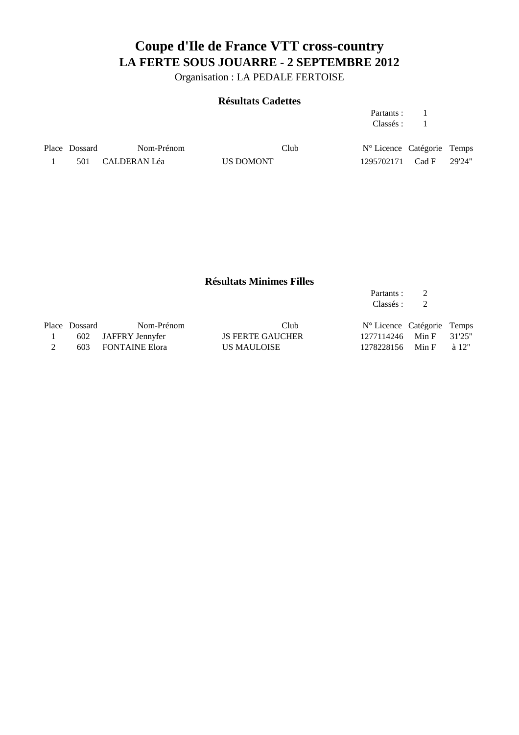Organisation : LA PEDALE FERTOISE

#### **Résultats Cadettes**

| Partants: |  |
|-----------|--|
| Classés : |  |

Place Dossard Nom-Prénom Club  $N^{\circ}$  Licence Catégorie Temps 1 501 CALDERAN Léa US DOMONT 1295702171 Cad F 29'24"

#### **Résultats Minimes Filles**

|               |                       |                         | Partants :                 |       |               |
|---------------|-----------------------|-------------------------|----------------------------|-------|---------------|
|               |                       |                         | Classés :                  |       |               |
| Place Dossard | Nom-Prénom            | Club                    | N° Licence Catégorie Temps |       |               |
|               | 602 JAFFRY Jennyfer   | <b>JS FERTE GAUCHER</b> | 1277114246                 | Min F | 31'25"        |
| 603           | <b>FONTAINE Elora</b> | <b>US MAULOISE</b>      | 1278228156                 | Min F | $\lambda$ 12" |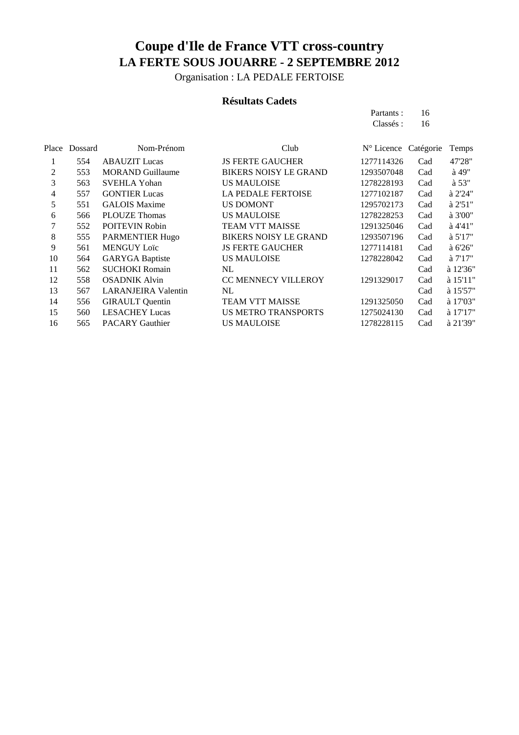Organisation : LA PEDALE FERTOISE

### **Résultats Cadets**

Partants : 16<br>Classés : 16 Classés :

| Place<br>Dossard | Nom-Prénom                 | Club                         |            |     | Temps                |
|------------------|----------------------------|------------------------------|------------|-----|----------------------|
| 554              | <b>ABAUZIT</b> Lucas       | <b>JS FERTE GAUCHER</b>      | 1277114326 | Cad | 47'28"               |
| 553              | <b>MORAND Guillaume</b>    | <b>BIKERS NOISY LE GRAND</b> | 1293507048 | Cad | $\hat{a}$ 49"        |
| 563              | <b>SVEHLA Yohan</b>        | <b>US MAULOISE</b>           | 1278228193 | Cad | $\lambda$ 53"        |
| 557              | <b>GONTIER Lucas</b>       | <b>LA PEDALE FERTOISE</b>    | 1277102187 | Cad | à 2'24"              |
| 551              | <b>GALOIS Maxime</b>       | <b>US DOMONT</b>             | 1295702173 | Cad | à 2'51"              |
| 566              | <b>PLOUZE Thomas</b>       | <b>US MAULOISE</b>           | 1278228253 | Cad | à 3'00"              |
| 552              | <b>POITEVIN Robin</b>      | <b>TEAM VTT MAISSE</b>       | 1291325046 | Cad | $a$ 4'41"            |
| 555              | PARMENTIER Hugo            | <b>BIKERS NOISY LE GRAND</b> | 1293507196 | Cad | a 5'17"              |
| 561              | <b>MENGUY Loïc</b>         | <b>JS FERTE GAUCHER</b>      | 1277114181 | Cad | $\lambda$ 6'26"      |
| 564              | <b>GARYGA Baptiste</b>     | <b>US MAULOISE</b>           | 1278228042 | Cad | a 7'17''             |
| 562              | <b>SUCHOKI Romain</b>      | NL.                          |            | Cad | à 12'36"             |
| 558              | <b>OSADNIK Alvin</b>       | <b>CC MENNECY VILLEROY</b>   | 1291329017 | Cad | $\lambda$ 15'11"     |
| 567              | <b>LARANJEIRA Valentin</b> | NL                           |            | Cad | à 15'57"             |
| 556              | <b>GIRAULT</b> Quentin     | <b>TEAM VTT MAISSE</b>       | 1291325050 | Cad | à 17'03"             |
| 560              | <b>LESACHEY Lucas</b>      | <b>US METRO TRANSPORTS</b>   | 1275024130 | Cad | à 17'17"             |
| 565              | <b>PACARY Gauthier</b>     | <b>US MAULOISE</b>           | 1278228115 | Cad | à 21'39"             |
|                  |                            |                              |            |     | N° Licence Catégorie |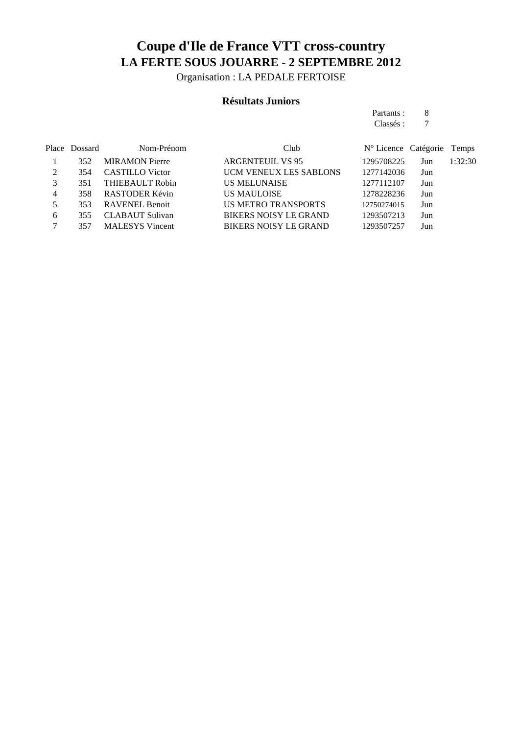Organisation : LA PEDALE FERTOISE

### **Résultats Juniors**

| Partants: | 8 |
|-----------|---|
| Classés : |   |

|   | Place Dossard | Nom-Prénom             | Club                          | $N^{\circ}$ Licence Catégorie |     | Temps   |
|---|---------------|------------------------|-------------------------------|-------------------------------|-----|---------|
|   | 352           | <b>MIRAMON Pierre</b>  | <b>ARGENTEUIL VS 95</b>       | 1295708225                    | Jun | 1:32:30 |
| 2 | 354           | <b>CASTILLO</b> Victor | <b>UCM VENEUX LES SABLONS</b> | 1277142036                    | Jun |         |
|   | 351           | <b>THIEBAULT Robin</b> | <b>US MELUNAISE</b>           | 1277112107                    | Jun |         |
| 4 | 358           | RASTODER Kévin         | <b>US MAULOISE</b>            | 1278228236                    | Jun |         |
| 5 | 353           | RAVENEL Benoit         | <b>US METRO TRANSPORTS</b>    | 12750274015                   | Jun |         |
| 6 | 355           | <b>CLABAUT</b> Sulivan | <b>BIKERS NOISY LE GRAND</b>  | 1293507213                    | Jun |         |
|   | 357           | <b>MALESYS</b> Vincent | <b>BIKERS NOISY LE GRAND</b>  | 1293507257                    | Jun |         |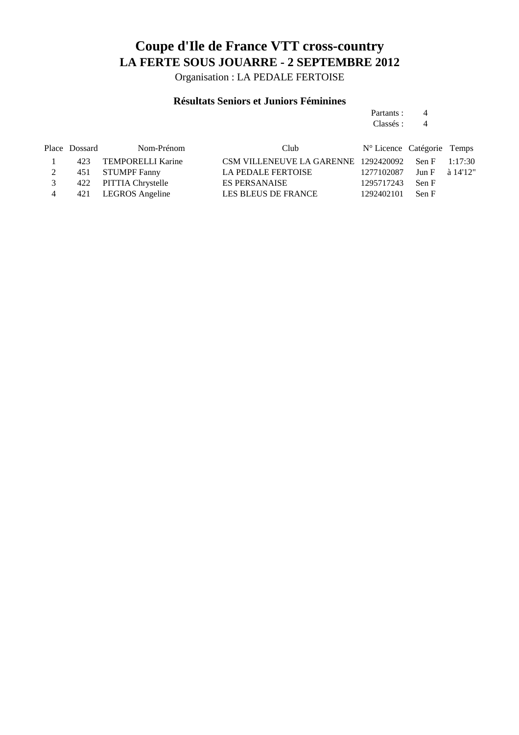Organisation : LA PEDALE FERTOISE

### **Résultats Seniors et Juniors Féminines**

Partants : 4<br>Classés : 4 Classés : 4

|                | Place Dossard | Nom-Prénom            | Club                                 | $N^{\circ}$ Licence Catégorie Temps |                 |  |
|----------------|---------------|-----------------------|--------------------------------------|-------------------------------------|-----------------|--|
|                |               | 423 TEMPORELLI Karine | CSM VILLENEUVE LA GARENNE 1292420092 |                                     | Sen F $1:17:30$ |  |
|                |               | 451 STUMPF Fanny      | <b>LA PEDALE FERTOISE</b>            | 1277102087 Jun F à 14'12"           |                 |  |
| 3              |               | 422 PITTIA Chrystelle | <b>ES PERSANAISE</b>                 | 1295717243                          | Sen F           |  |
| $\overline{4}$ |               | 421 LEGROS Angeline   | LES BLEUS DE FRANCE                  | 1292402101                          | Sen F           |  |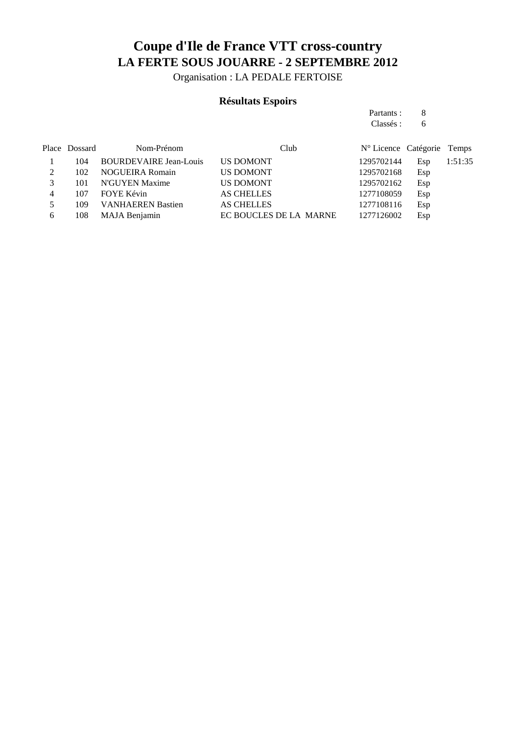Organisation : LA PEDALE FERTOISE

### **Résultats Espoirs**

| Partants : | 8 |
|------------|---|
| Classés :  | 6 |

|   | Place Dossard | Nom-Prénom                    | Club                   | N° Licence Catégorie Temps |     |         |
|---|---------------|-------------------------------|------------------------|----------------------------|-----|---------|
|   | 104           | <b>BOURDEVAIRE Jean-Louis</b> | <b>US DOMONT</b>       | 1295702144                 | Esp | 1:51:35 |
|   | 102           | <b>NOGUEIRA Romain</b>        | <b>US DOMONT</b>       | 1295702168                 | Esp |         |
|   | 101           | N'GUYEN Maxime                | <b>US DOMONT</b>       | 1295702162                 | Esp |         |
| 4 | 107           | FOYE Kévin                    | <b>AS CHELLES</b>      | 1277108059                 | Esp |         |
|   | 109           | <b>VANHAEREN Bastien</b>      | <b>AS CHELLES</b>      | 1277108116                 | Esp |         |
| 6 | 108           | MAJA Benjamin                 | EC BOUCLES DE LA MARNE | 1277126002                 | Esp |         |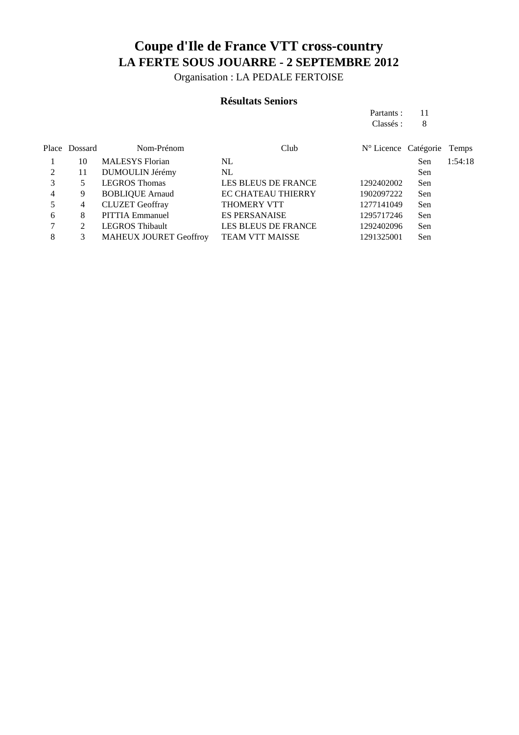Organisation : LA PEDALE FERTOISE

#### **Résultats Seniors**

| Partants: | 11 |
|-----------|----|
| Classés : | 8  |

|   | Place Dossard | Nom-Prénom                    | Club                       | N° Licence Catégorie Temps |     |         |
|---|---------------|-------------------------------|----------------------------|----------------------------|-----|---------|
|   | 10            | <b>MALESYS</b> Florian        | NL                         |                            | Sen | 1:54:18 |
|   | 11            | DUMOULIN Jérémy               | NL                         |                            | Sen |         |
|   |               | <b>LEGROS</b> Thomas          | <b>LES BLEUS DE FRANCE</b> | 1292402002                 | Sen |         |
| 4 | 9             | <b>BOBLIQUE Arnaud</b>        | EC CHATEAU THIERRY         | 1902097222                 | Sen |         |
|   | 4             | <b>CLUZET</b> Geoffray        | <b>THOMERY VTT</b>         | 1277141049                 | Sen |         |
| 6 | 8             | <b>PITTIA Emmanuel</b>        | <b>ES PERSANAISE</b>       | 1295717246                 | Sen |         |
|   |               | <b>LEGROS Thibault</b>        | LES BLEUS DE FRANCE        | 1292402096                 | Sen |         |
| 8 | 3             | <b>MAHEUX JOURET Geoffroy</b> | <b>TEAM VTT MAISSE</b>     | 1291325001                 | Sen |         |
|   |               |                               |                            |                            |     |         |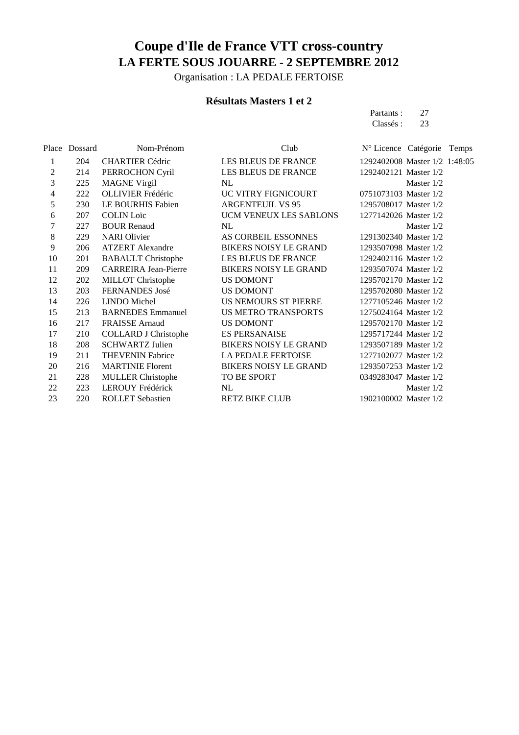Organisation : LA PEDALE FERTOISE

### **Résultats Masters 1 et 2**

Partants : 27<br>Classés : 23 Classés :

|    | Place Dossard | Nom-Prénom                  | Club                         | N° Licence Catégorie Temps    |              |  |
|----|---------------|-----------------------------|------------------------------|-------------------------------|--------------|--|
| 1  | 204           | <b>CHARTIER Cédric</b>      | LES BLEUS DE FRANCE          | 1292402008 Master 1/2 1:48:05 |              |  |
| 2  | 214           | PERROCHON Cyril             | LES BLEUS DE FRANCE          | 1292402121 Master 1/2         |              |  |
| 3  | 225           | <b>MAGNE Virgil</b>         | NL                           |                               | Master $1/2$ |  |
| 4  | 222           | <b>OLLIVIER Frédéric</b>    | UC VITRY FIGNICOURT          | 0751073103 Master 1/2         |              |  |
| 5  | 230           | LE BOURHIS Fabien           | <b>ARGENTEUIL VS 95</b>      | 1295708017 Master 1/2         |              |  |
| 6  | 207           | <b>COLIN Loïc</b>           | UCM VENEUX LES SABLONS       | 1277142026 Master 1/2         |              |  |
| 7  | 227           | <b>BOUR Renaud</b>          | NL                           |                               | Master 1/2   |  |
| 8  | 229           | <b>NARI</b> Olivier         | AS CORBEIL ESSONNES          | 1291302340 Master 1/2         |              |  |
| 9  | 206           | <b>ATZERT</b> Alexandre     | <b>BIKERS NOISY LE GRAND</b> | 1293507098 Master 1/2         |              |  |
| 10 | 201           | <b>BABAULT</b> Christophe   | LES BLEUS DE FRANCE          | 1292402116 Master 1/2         |              |  |
| 11 | 209           | <b>CARREIRA Jean-Pierre</b> | <b>BIKERS NOISY LE GRAND</b> | 1293507074 Master 1/2         |              |  |
| 12 | 202           | MILLOT Christophe           | <b>US DOMONT</b>             | 1295702170 Master 1/2         |              |  |
| 13 | 203           | FERNANDES José              | US DOMONT                    | 1295702080 Master 1/2         |              |  |
| 14 | 226           | <b>LINDO</b> Michel         | US NEMOURS ST PIERRE         | 1277105246 Master 1/2         |              |  |
| 15 | 213           | <b>BARNEDES</b> Emmanuel    | <b>US METRO TRANSPORTS</b>   | 1275024164 Master 1/2         |              |  |
| 16 | 217           | <b>FRAISSE</b> Arnaud       | US DOMONT                    | 1295702170 Master 1/2         |              |  |
| 17 | 210           | <b>COLLARD J Christophe</b> | <b>ES PERSANAISE</b>         | 1295717244 Master 1/2         |              |  |
| 18 | 208           | <b>SCHWARTZ Julien</b>      | <b>BIKERS NOISY LE GRAND</b> | 1293507189 Master 1/2         |              |  |
| 19 | 211           | <b>THEVENIN Fabrice</b>     | LA PEDALE FERTOISE           | 1277102077 Master 1/2         |              |  |
| 20 | 216           | <b>MARTINIE Florent</b>     | <b>BIKERS NOISY LE GRAND</b> | 1293507253 Master 1/2         |              |  |
| 21 | 228           | <b>MULLER Christophe</b>    | TO BE SPORT                  | 0349283047 Master 1/2         |              |  |
| 22 | 223           | LEROUY Frédérick            | NL                           |                               | Master $1/2$ |  |
| 23 | 220           | <b>ROLLET Sebastien</b>     | <b>RETZ BIKE CLUB</b>        | 1902100002 Master 1/2         |              |  |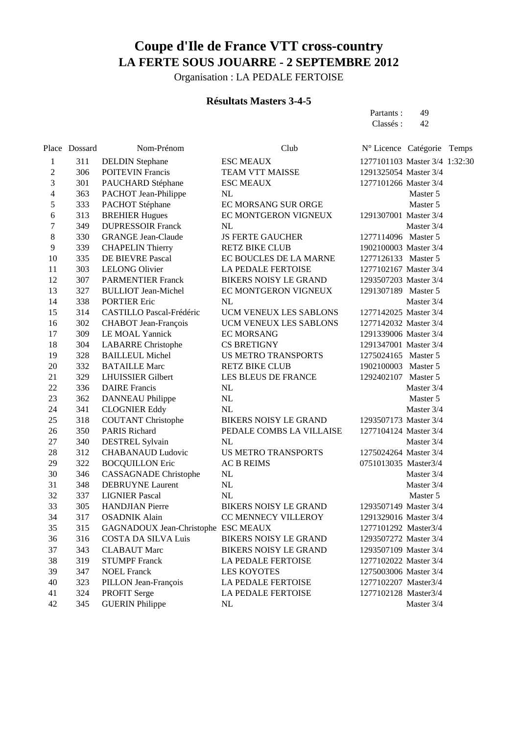Organisation : LA PEDALE FERTOISE

### **Résultats Masters 3-4-5**

Partants : 49<br>Classés : 42 Classés :

|                          | Place Dossard | Nom-Prénom                          | Club                         | N° Licence Catégorie          | Temps |
|--------------------------|---------------|-------------------------------------|------------------------------|-------------------------------|-------|
| 1                        | 311           | <b>DELDIN</b> Stephane              | <b>ESC MEAUX</b>             | 1277101103 Master 3/4 1:32:30 |       |
| 2                        | 306           | <b>POITEVIN Francis</b>             | TEAM VTT MAISSE              | 1291325054 Master 3/4         |       |
| 3                        | 301           | PAUCHARD Stéphane                   | <b>ESC MEAUX</b>             | 1277101266 Master 3/4         |       |
| $\overline{\mathcal{L}}$ | 363           | PACHOT Jean-Philippe                | NL                           | Master 5                      |       |
| 5                        | 333           | PACHOT Stéphane                     | EC MORSANG SUR ORGE          | Master 5                      |       |
| 6                        | 313           | <b>BREHIER Hugues</b>               | EC MONTGERON VIGNEUX         | 1291307001 Master 3/4         |       |
| 7                        | 349           | <b>DUPRESSOIR Franck</b>            | NL                           | Master 3/4                    |       |
| 8                        | 330           | <b>GRANGE Jean-Claude</b>           | <b>JS FERTE GAUCHER</b>      | 1277114096 Master 5           |       |
| 9                        | 339           | <b>CHAPELIN Thierry</b>             | <b>RETZ BIKE CLUB</b>        | 1902100003 Master 3/4         |       |
| 10                       | 335           | DE BIEVRE Pascal                    | EC BOUCLES DE LA MARNE       | 1277126133 Master 5           |       |
| 11                       | 303           | <b>LELONG Olivier</b>               | LA PEDALE FERTOISE           | 1277102167 Master 3/4         |       |
| 12                       | 307           | <b>PARMENTIER Franck</b>            | <b>BIKERS NOISY LE GRAND</b> | 1293507203 Master 3/4         |       |
| 13                       | 327           | <b>BULLIOT</b> Jean-Michel          | EC MONTGERON VIGNEUX         | 1291307189 Master 5           |       |
| 14                       | 338           | <b>PORTIER Eric</b>                 | NL                           | Master 3/4                    |       |
| 15                       | 314           | CASTILLO Pascal-Frédéric            | UCM VENEUX LES SABLONS       | 1277142025 Master 3/4         |       |
| 16                       | 302           | <b>CHABOT</b> Jean-François         | UCM VENEUX LES SABLONS       | 1277142032 Master 3/4         |       |
| 17                       | 309           | <b>LE MOAL Yannick</b>              | <b>EC MORSANG</b>            | 1291339006 Master 3/4         |       |
| 18                       | 304           | <b>LABARRE</b> Christophe           | <b>CS BRETIGNY</b>           | 1291347001 Master 3/4         |       |
| 19                       | 328           | <b>BAILLEUL Michel</b>              | <b>US METRO TRANSPORTS</b>   | 1275024165 Master 5           |       |
| 20                       | 332           | <b>BATAILLE Marc</b>                | <b>RETZ BIKE CLUB</b>        | 1902100003 Master 5           |       |
| 21                       | 329           | <b>LHUISSIER Gilbert</b>            | LES BLEUS DE FRANCE          | 1292402107 Master 5           |       |
| 22                       | 336           | <b>DAIRE</b> Francis                | NL                           | Master 3/4                    |       |
| 23                       | 362           | <b>DANNEAU</b> Philippe             | NL                           | Master 5                      |       |
| 24                       | 341           | <b>CLOGNIER Eddy</b>                | NL                           | Master 3/4                    |       |
| 25                       | 318           | <b>COUTANT Christophe</b>           | <b>BIKERS NOISY LE GRAND</b> | 1293507173 Master 3/4         |       |
| 26                       | 350           | <b>PARIS Richard</b>                | PEDALE COMBS LA VILLAISE     | 1277104124 Master 3/4         |       |
| 27                       | 340           | <b>DESTREL Sylvain</b>              | <b>NL</b>                    | Master 3/4                    |       |
| 28                       | 312           | <b>CHABANAUD Ludovic</b>            | <b>US METRO TRANSPORTS</b>   | 1275024264 Master 3/4         |       |
| 29                       | 322           | <b>BOCQUILLON Eric</b>              | <b>AC B REIMS</b>            | 0751013035 Master3/4          |       |
| 30                       | 346           | <b>CASSAGNADE</b> Christophe        | NL                           | Master 3/4                    |       |
| 31                       | 348           | <b>DEBRUYNE Laurent</b>             | NL                           | Master 3/4                    |       |
| 32                       | 337           | <b>LIGNIER Pascal</b>               | <b>NL</b>                    | Master 5                      |       |
| 33                       | 305           | <b>HANDJIAN Pierre</b>              | <b>BIKERS NOISY LE GRAND</b> | 1293507149 Master 3/4         |       |
| 34                       | 317           | <b>OSADNIK Alain</b>                | CC MENNECY VILLEROY          | 1291329016 Master 3/4         |       |
| 35                       | 315           | GAGNADOUX Jean-Christophe ESC MEAUX |                              | 1277101292 Master3/4          |       |
| 36                       | 316           | COSTA DA SILVA Luis                 | <b>BIKERS NOISY LE GRAND</b> | 1293507272 Master 3/4         |       |
| 37                       | 343           | <b>CLABAUT</b> Marc                 | <b>BIKERS NOISY LE GRAND</b> | 1293507109 Master 3/4         |       |
| 38                       | 319           | <b>STUMPF Franck</b>                | <b>LA PEDALE FERTOISE</b>    | 1277102022 Master 3/4         |       |
| 39                       | 347           | <b>NOEL Franck</b>                  | <b>LES KOYOTES</b>           | 1275003006 Master 3/4         |       |
| 40                       | 323           | PILLON Jean-François                | LA PEDALE FERTOISE           | 1277102207 Master3/4          |       |
| 41                       | 324           | PROFIT Serge                        | <b>LA PEDALE FERTOISE</b>    | 1277102128 Master3/4          |       |
| 42                       | 345           | <b>GUERIN Philippe</b>              | NL                           | Master 3/4                    |       |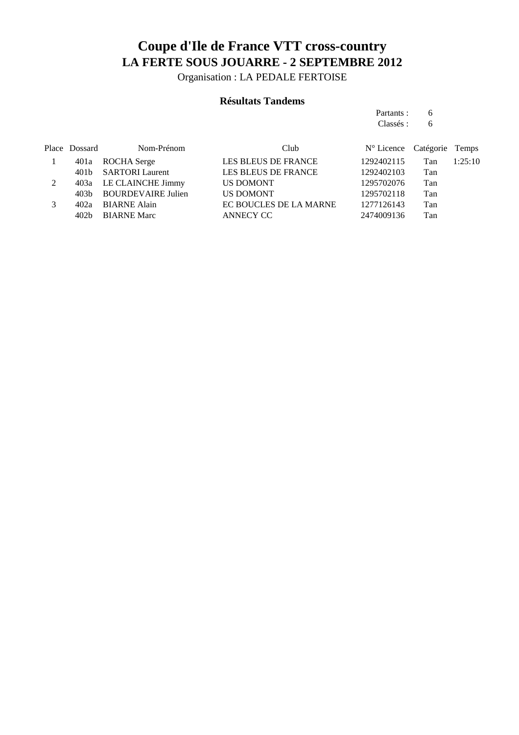Organisation : LA PEDALE FERTOISE

### **Résultats Tandems**

Partants : 6<br>Classés : 6 Classés :

| Place Dossard | Nom-Prénom              | Club                       | N° Licence Catégorie Temps |     |         |
|---------------|-------------------------|----------------------------|----------------------------|-----|---------|
|               | 401a ROCHA Serge        | <b>LES BLEUS DE FRANCE</b> | 1292402115                 | Tan | 1:25:10 |
|               | 401b SARTORI Laurent    | LES BLEUS DE FRANCE        | 1292402103                 | Tan |         |
|               | 403a LE CLAINCHE Jimmy  | <b>US DOMONT</b>           | 1295702076                 | Tan |         |
|               | 403b BOURDEVAIRE Julien | US DOMONT                  | 1295702118                 | Tan |         |
| 402a          | <b>BIARNE Alain</b>     | EC BOUCLES DE LA MARNE     | 1277126143                 | Tan |         |
| 402b          | <b>BIARNE Marc</b>      | ANNECY CC                  | 2474009136                 | Tan |         |